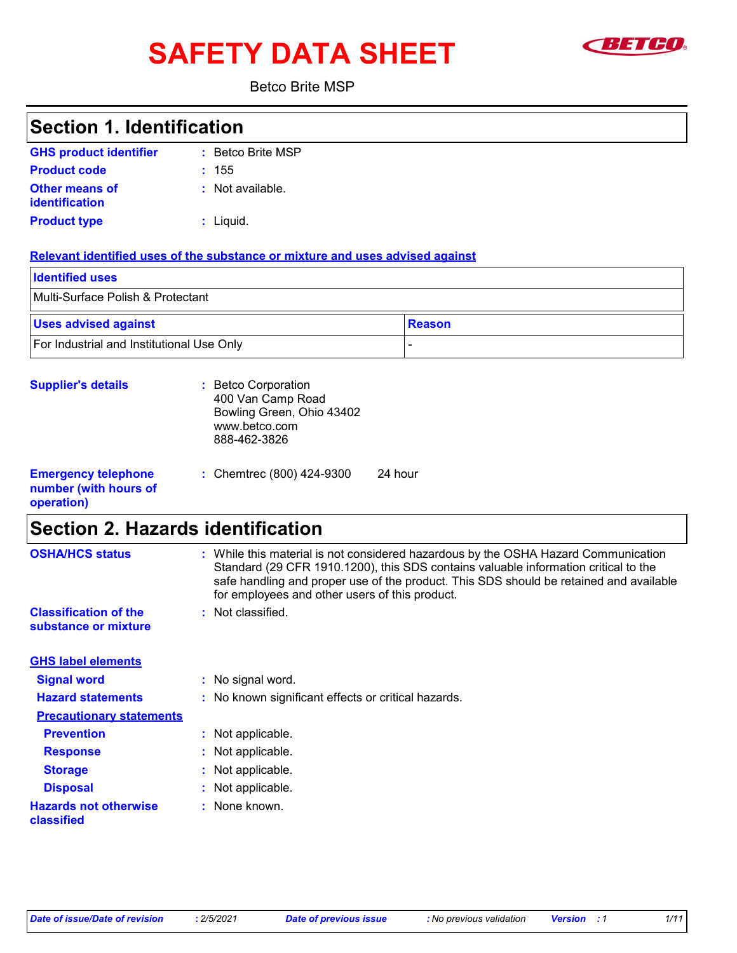# SAFETY DATA SHEET **SAFETY**



#### Betco Brite MSP

| <b>Section 1. Identification</b>                |                                                                                                                                                                               |  |  |  |  |  |
|-------------------------------------------------|-------------------------------------------------------------------------------------------------------------------------------------------------------------------------------|--|--|--|--|--|
| <b>GHS product identifier</b>                   | : Betco Brite MSP                                                                                                                                                             |  |  |  |  |  |
| <b>Product code</b>                             | : 155                                                                                                                                                                         |  |  |  |  |  |
| <b>Other means of</b>                           | : Not available.                                                                                                                                                              |  |  |  |  |  |
| <b>identification</b>                           |                                                                                                                                                                               |  |  |  |  |  |
| <b>Product type</b>                             | $:$ Liquid.                                                                                                                                                                   |  |  |  |  |  |
|                                                 | Relevant identified uses of the substance or mixture and uses advised against                                                                                                 |  |  |  |  |  |
| <b>Identified uses</b>                          |                                                                                                                                                                               |  |  |  |  |  |
| Multi-Surface Polish & Protectant               |                                                                                                                                                                               |  |  |  |  |  |
| <b>Uses advised against</b>                     | <b>Reason</b>                                                                                                                                                                 |  |  |  |  |  |
| For Industrial and Institutional Use Only       |                                                                                                                                                                               |  |  |  |  |  |
|                                                 |                                                                                                                                                                               |  |  |  |  |  |
| <b>Supplier's details</b>                       | : Betco Corporation                                                                                                                                                           |  |  |  |  |  |
|                                                 | 400 Van Camp Road<br>Bowling Green, Ohio 43402                                                                                                                                |  |  |  |  |  |
|                                                 | www.betco.com                                                                                                                                                                 |  |  |  |  |  |
|                                                 | 888-462-3826                                                                                                                                                                  |  |  |  |  |  |
| <b>Emergency telephone</b>                      | 24 hour<br>: Chemtrec (800) 424-9300                                                                                                                                          |  |  |  |  |  |
| number (with hours of                           |                                                                                                                                                                               |  |  |  |  |  |
| operation)                                      |                                                                                                                                                                               |  |  |  |  |  |
| <b>Section 2. Hazards identification</b>        |                                                                                                                                                                               |  |  |  |  |  |
| <b>OSHA/HCS status</b>                          | : While this material is not considered hazardous by the OSHA Hazard Communication                                                                                            |  |  |  |  |  |
|                                                 | Standard (29 CFR 1910.1200), this SDS contains valuable information critical to the<br>safe handling and proper use of the product. This SDS should be retained and available |  |  |  |  |  |
|                                                 | for employees and other users of this product.                                                                                                                                |  |  |  |  |  |
| <b>Classification of the</b>                    | Not classified.                                                                                                                                                               |  |  |  |  |  |
| substance or mixture                            |                                                                                                                                                                               |  |  |  |  |  |
|                                                 |                                                                                                                                                                               |  |  |  |  |  |
| <b>GHS label elements</b><br><b>Signal word</b> | : No signal word.                                                                                                                                                             |  |  |  |  |  |
| <b>Hazard statements</b>                        | : No known significant effects or critical hazards.                                                                                                                           |  |  |  |  |  |
| <b>Precautionary statements</b>                 |                                                                                                                                                                               |  |  |  |  |  |
| <b>Prevention</b>                               | Not applicable.<br>t.                                                                                                                                                         |  |  |  |  |  |
| <b>Response</b>                                 | Not applicable.                                                                                                                                                               |  |  |  |  |  |
| <b>Storage</b>                                  | Not applicable.                                                                                                                                                               |  |  |  |  |  |
| <b>Disposal</b>                                 | Not applicable.                                                                                                                                                               |  |  |  |  |  |
| <b>Hazards not otherwise</b>                    | None known.<br>t.                                                                                                                                                             |  |  |  |  |  |
| classified                                      |                                                                                                                                                                               |  |  |  |  |  |
|                                                 |                                                                                                                                                                               |  |  |  |  |  |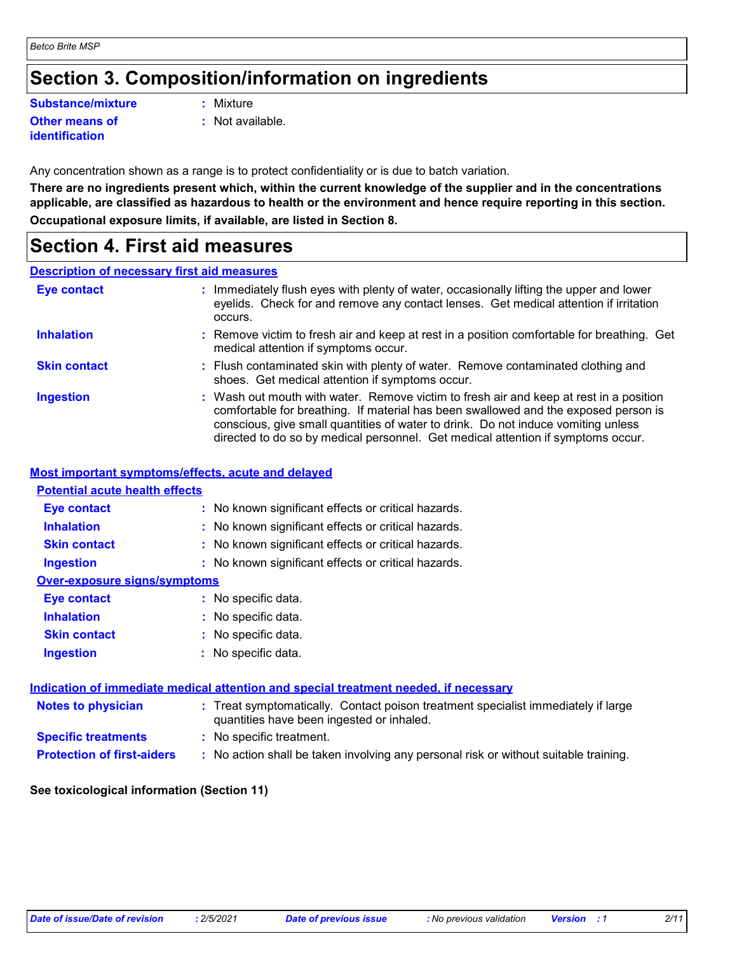### **Section 3. Composition/information on ingredients**

**Substance/mixture :**

**Other means of identification**

- Mixture
- **:** Not available.

Any concentration shown as a range is to protect confidentiality or is due to batch variation.

**There are no ingredients present which, within the current knowledge of the supplier and in the concentrations applicable, are classified as hazardous to health or the environment and hence require reporting in this section. Occupational exposure limits, if available, are listed in Section 8.**

### **Section 4. First aid measures**

#### **Description of necessary first aid measures**

| <b>Eye contact</b>  | : Immediately flush eyes with plenty of water, occasionally lifting the upper and lower<br>eyelids. Check for and remove any contact lenses. Get medical attention if irritation<br>occurs.                                                                                                                                                            |
|---------------------|--------------------------------------------------------------------------------------------------------------------------------------------------------------------------------------------------------------------------------------------------------------------------------------------------------------------------------------------------------|
| <b>Inhalation</b>   | : Remove victim to fresh air and keep at rest in a position comfortable for breathing. Get<br>medical attention if symptoms occur.                                                                                                                                                                                                                     |
| <b>Skin contact</b> | : Flush contaminated skin with plenty of water. Remove contaminated clothing and<br>shoes. Get medical attention if symptoms occur.                                                                                                                                                                                                                    |
| <b>Ingestion</b>    | : Wash out mouth with water. Remove victim to fresh air and keep at rest in a position<br>comfortable for breathing. If material has been swallowed and the exposed person is<br>conscious, give small quantities of water to drink. Do not induce vomiting unless<br>directed to do so by medical personnel. Get medical attention if symptoms occur. |

#### **Most important symptoms/effects, acute and delayed**

#### **Notes to physician <b>:** Treat symptomatically. Contact poison treatment specialist immediately if large quantities have been ingested or inhaled. **Specific treatments :** No specific treatment. **Inhalation <b>:** No known significant effects or critical hazards. **Ingestion :** No known significant effects or critical hazards. **Skin contact :** No known significant effects or critical hazards. **Eye contact :** No known significant effects or critical hazards. **Over-exposure signs/symptoms Skin contact Ingestion Inhalation :** No specific data. No specific data. **:** No specific data. **: Eye contact :** No specific data. **Potential acute health effects Indication of immediate medical attention and special treatment needed, if necessary**

**Protection of first-aiders** : No action shall be taken involving any personal risk or without suitable training.

#### **See toxicological information (Section 11)**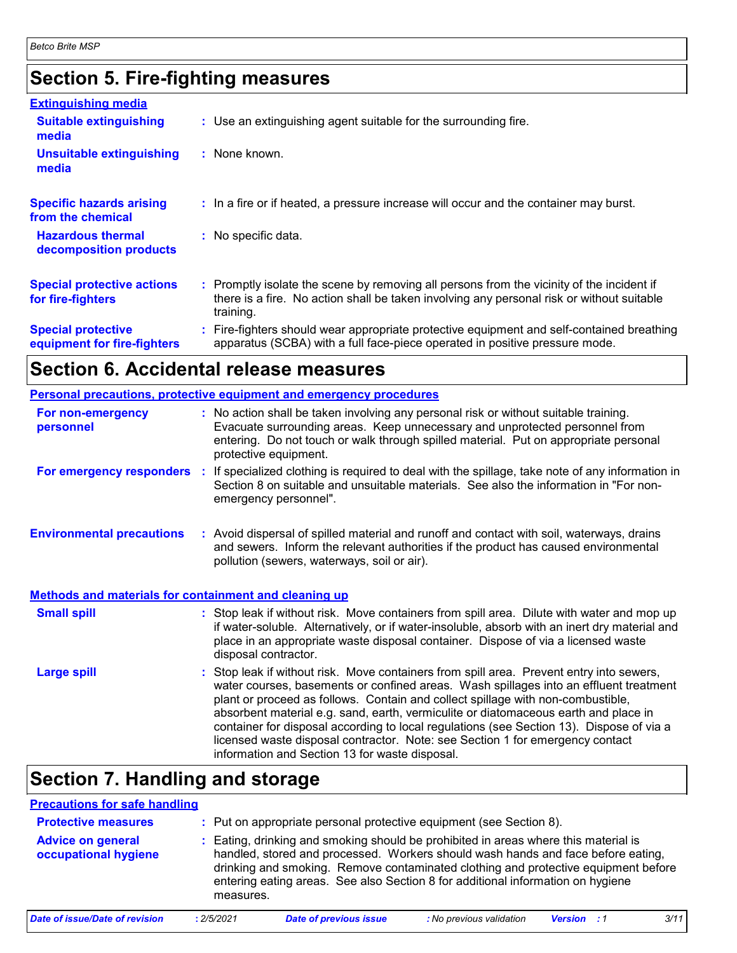## **Section 5. Fire-fighting measures**

| <b>Extinguishing media</b>                               |                                                                                                                                                                                                     |
|----------------------------------------------------------|-----------------------------------------------------------------------------------------------------------------------------------------------------------------------------------------------------|
| <b>Suitable extinguishing</b><br>media                   | : Use an extinguishing agent suitable for the surrounding fire.                                                                                                                                     |
| <b>Unsuitable extinguishing</b><br>media                 | : None known.                                                                                                                                                                                       |
| <b>Specific hazards arising</b><br>from the chemical     | : In a fire or if heated, a pressure increase will occur and the container may burst.                                                                                                               |
| <b>Hazardous thermal</b><br>decomposition products       | : No specific data.                                                                                                                                                                                 |
| <b>Special protective actions</b><br>for fire-fighters   | : Promptly isolate the scene by removing all persons from the vicinity of the incident if<br>there is a fire. No action shall be taken involving any personal risk or without suitable<br>training. |
| <b>Special protective</b><br>equipment for fire-fighters | Fire-fighters should wear appropriate protective equipment and self-contained breathing<br>apparatus (SCBA) with a full face-piece operated in positive pressure mode.                              |

## **Section 6. Accidental release measures**

| Personal precautions, protective equipment and emergency procedures                                                                                                                                                                                                                                                                                                                                                                                                                                                                      |
|------------------------------------------------------------------------------------------------------------------------------------------------------------------------------------------------------------------------------------------------------------------------------------------------------------------------------------------------------------------------------------------------------------------------------------------------------------------------------------------------------------------------------------------|
| : No action shall be taken involving any personal risk or without suitable training.<br>Evacuate surrounding areas. Keep unnecessary and unprotected personnel from<br>entering. Do not touch or walk through spilled material. Put on appropriate personal<br>protective equipment.                                                                                                                                                                                                                                                     |
| For emergency responders : If specialized clothing is required to deal with the spillage, take note of any information in<br>Section 8 on suitable and unsuitable materials. See also the information in "For non-<br>emergency personnel".                                                                                                                                                                                                                                                                                              |
| : Avoid dispersal of spilled material and runoff and contact with soil, waterways, drains<br>and sewers. Inform the relevant authorities if the product has caused environmental<br>pollution (sewers, waterways, soil or air).                                                                                                                                                                                                                                                                                                          |
| Methods and materials for containment and cleaning up                                                                                                                                                                                                                                                                                                                                                                                                                                                                                    |
| : Stop leak if without risk. Move containers from spill area. Dilute with water and mop up<br>if water-soluble. Alternatively, or if water-insoluble, absorb with an inert dry material and<br>place in an appropriate waste disposal container. Dispose of via a licensed waste<br>disposal contractor.                                                                                                                                                                                                                                 |
| : Stop leak if without risk. Move containers from spill area. Prevent entry into sewers,<br>water courses, basements or confined areas. Wash spillages into an effluent treatment<br>plant or proceed as follows. Contain and collect spillage with non-combustible,<br>absorbent material e.g. sand, earth, vermiculite or diatomaceous earth and place in<br>container for disposal according to local regulations (see Section 13). Dispose of via a<br>licensed waste disposal contractor. Note: see Section 1 for emergency contact |
|                                                                                                                                                                                                                                                                                                                                                                                                                                                                                                                                          |

### **Section 7. Handling and storage**

| <b>Precautions for safe handling</b>             |            |                                                                                                                                                                                                                                                                                                                                                  |                          |                    |      |
|--------------------------------------------------|------------|--------------------------------------------------------------------------------------------------------------------------------------------------------------------------------------------------------------------------------------------------------------------------------------------------------------------------------------------------|--------------------------|--------------------|------|
| <b>Protective measures</b>                       |            | : Put on appropriate personal protective equipment (see Section 8).                                                                                                                                                                                                                                                                              |                          |                    |      |
| <b>Advice on general</b><br>occupational hygiene | measures.  | : Eating, drinking and smoking should be prohibited in areas where this material is<br>handled, stored and processed. Workers should wash hands and face before eating,<br>drinking and smoking. Remove contaminated clothing and protective equipment before<br>entering eating areas. See also Section 8 for additional information on hygiene |                          |                    |      |
| <b>Date of issue/Date of revision</b>            | : 2/5/2021 | <b>Date of previous issue</b>                                                                                                                                                                                                                                                                                                                    | : No previous validation | <b>Version</b> : 1 | 3/11 |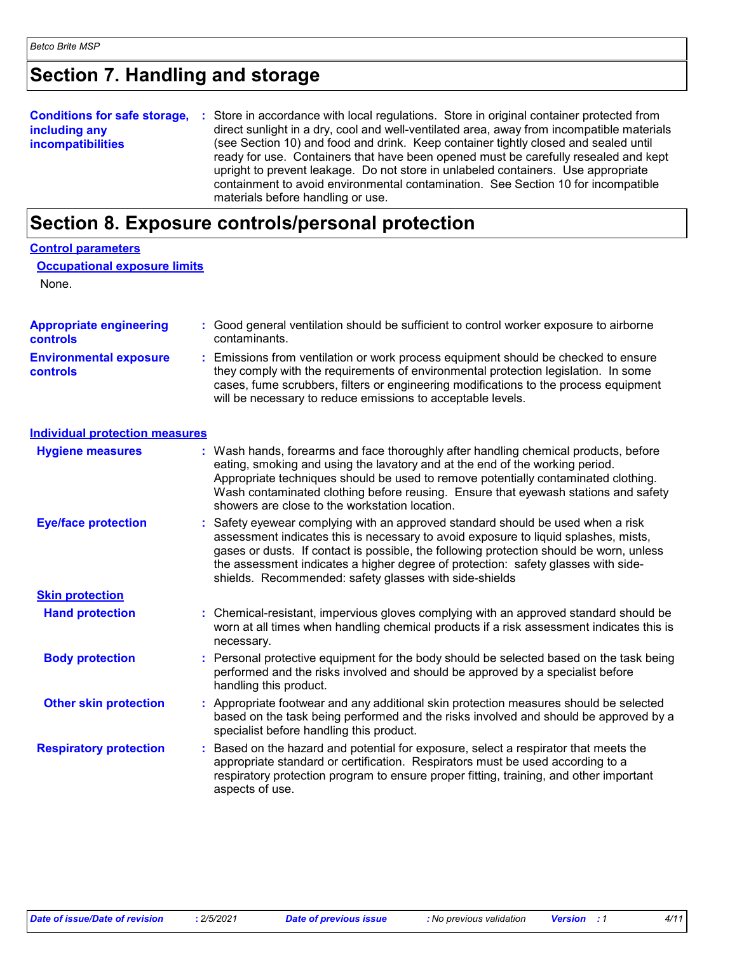### **Section 7. Handling and storage**

#### **Conditions for safe storage, including any incompatibilities** Store in accordance with local regulations. Store in original container protected from **:** direct sunlight in a dry, cool and well-ventilated area, away from incompatible materials (see Section 10) and food and drink. Keep container tightly closed and sealed until ready for use. Containers that have been opened must be carefully resealed and kept upright to prevent leakage. Do not store in unlabeled containers. Use appropriate containment to avoid environmental contamination. See Section 10 for incompatible materials before handling or use.

### **Section 8. Exposure controls/personal protection**

| <b>Control parameters</b>                         |                                                                                                                                                                                                                                                                                                                                                                                                                |
|---------------------------------------------------|----------------------------------------------------------------------------------------------------------------------------------------------------------------------------------------------------------------------------------------------------------------------------------------------------------------------------------------------------------------------------------------------------------------|
| <b>Occupational exposure limits</b>               |                                                                                                                                                                                                                                                                                                                                                                                                                |
| None.                                             |                                                                                                                                                                                                                                                                                                                                                                                                                |
| <b>Appropriate engineering</b><br><b>controls</b> | Good general ventilation should be sufficient to control worker exposure to airborne<br>contaminants.                                                                                                                                                                                                                                                                                                          |
| <b>Environmental exposure</b><br><b>controls</b>  | : Emissions from ventilation or work process equipment should be checked to ensure<br>they comply with the requirements of environmental protection legislation. In some<br>cases, fume scrubbers, filters or engineering modifications to the process equipment<br>will be necessary to reduce emissions to acceptable levels.                                                                                |
| <b>Individual protection measures</b>             |                                                                                                                                                                                                                                                                                                                                                                                                                |
| <b>Hygiene measures</b>                           | Wash hands, forearms and face thoroughly after handling chemical products, before<br>eating, smoking and using the lavatory and at the end of the working period.<br>Appropriate techniques should be used to remove potentially contaminated clothing.<br>Wash contaminated clothing before reusing. Ensure that eyewash stations and safety<br>showers are close to the workstation location.                |
| <b>Eye/face protection</b>                        | Safety eyewear complying with an approved standard should be used when a risk<br>assessment indicates this is necessary to avoid exposure to liquid splashes, mists,<br>gases or dusts. If contact is possible, the following protection should be worn, unless<br>the assessment indicates a higher degree of protection: safety glasses with side-<br>shields. Recommended: safety glasses with side-shields |
| <b>Skin protection</b>                            |                                                                                                                                                                                                                                                                                                                                                                                                                |
| <b>Hand protection</b>                            | : Chemical-resistant, impervious gloves complying with an approved standard should be<br>worn at all times when handling chemical products if a risk assessment indicates this is<br>necessary.                                                                                                                                                                                                                |
| <b>Body protection</b>                            | : Personal protective equipment for the body should be selected based on the task being<br>performed and the risks involved and should be approved by a specialist before<br>handling this product.                                                                                                                                                                                                            |
| <b>Other skin protection</b>                      | : Appropriate footwear and any additional skin protection measures should be selected<br>based on the task being performed and the risks involved and should be approved by a<br>specialist before handling this product.                                                                                                                                                                                      |
| <b>Respiratory protection</b>                     | : Based on the hazard and potential for exposure, select a respirator that meets the<br>appropriate standard or certification. Respirators must be used according to a<br>respiratory protection program to ensure proper fitting, training, and other important<br>aspects of use.                                                                                                                            |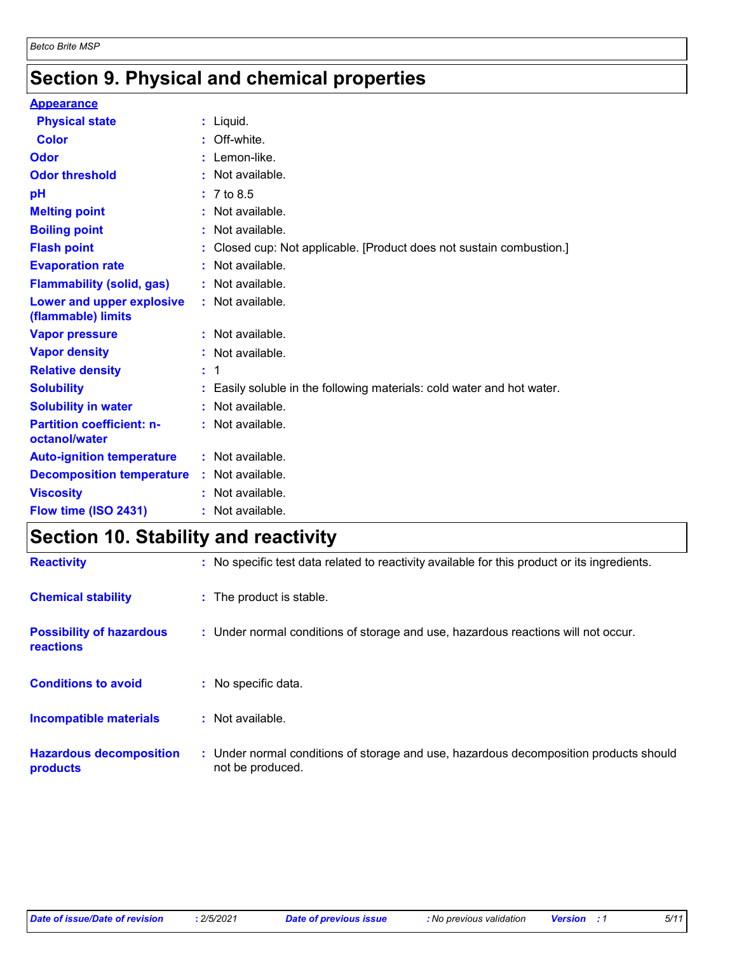### **Section 9. Physical and chemical properties**

#### **Appearance**

| <b>Physical state</b>                             | : Liquid.                                                              |
|---------------------------------------------------|------------------------------------------------------------------------|
| <b>Color</b>                                      | : Off-white.                                                           |
| Odor                                              | : Lemon-like.                                                          |
| <b>Odor threshold</b>                             | $:$ Not available.                                                     |
| pH                                                | : 7 to 8.5                                                             |
| <b>Melting point</b>                              | : Not available.                                                       |
| <b>Boiling point</b>                              | : Not available.                                                       |
| <b>Flash point</b>                                | : Closed cup: Not applicable. [Product does not sustain combustion.]   |
| <b>Evaporation rate</b>                           | : Not available.                                                       |
| <b>Flammability (solid, gas)</b>                  | : Not available.                                                       |
| Lower and upper explosive<br>(flammable) limits   | : Not available.                                                       |
| <b>Vapor pressure</b>                             | : Not available.                                                       |
| <b>Vapor density</b>                              | : Not available.                                                       |
| <b>Relative density</b>                           | : 1                                                                    |
| <b>Solubility</b>                                 | : Easily soluble in the following materials: cold water and hot water. |
| <b>Solubility in water</b>                        | : Not available.                                                       |
| <b>Partition coefficient: n-</b><br>octanol/water | : Not available.                                                       |
| <b>Auto-ignition temperature</b>                  | $:$ Not available.                                                     |
| <b>Decomposition temperature</b>                  | : Not available.                                                       |
| <b>Viscosity</b>                                  | : Not available.                                                       |
| Flow time (ISO 2431)                              | : Not available.                                                       |
|                                                   |                                                                        |

### **Section 10. Stability and reactivity**

| <b>Reactivity</b>                            | : No specific test data related to reactivity available for this product or its ingredients.              |
|----------------------------------------------|-----------------------------------------------------------------------------------------------------------|
| <b>Chemical stability</b>                    | : The product is stable.                                                                                  |
| <b>Possibility of hazardous</b><br>reactions | : Under normal conditions of storage and use, hazardous reactions will not occur.                         |
| <b>Conditions to avoid</b>                   | : No specific data.                                                                                       |
| Incompatible materials                       | $:$ Not available.                                                                                        |
| <b>Hazardous decomposition</b><br>products   | : Under normal conditions of storage and use, hazardous decomposition products should<br>not be produced. |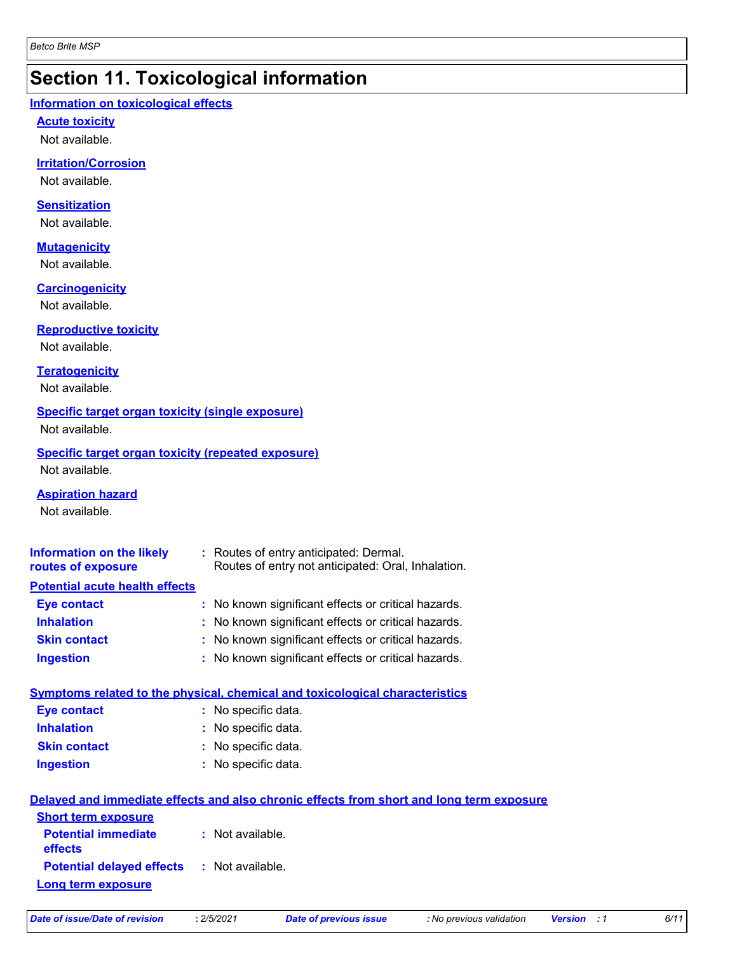### **Section 11. Toxicological information**

#### **Information on toxicological effects**

#### **Acute toxicity**

Not available.

#### **Irritation/Corrosion**

Not available.

#### **Sensitization**

Not available.

#### **Mutagenicity**

Not available.

#### **Carcinogenicity**

Not available.

#### **Reproductive toxicity**

Not available.

#### **Teratogenicity**

Not available.

#### **Specific target organ toxicity (single exposure)**

Not available.

### **Specific target organ toxicity (repeated exposure)**

Not available.

#### **Aspiration hazard**

Not available.

| Information on the likely<br>routes of exposure | : Routes of entry anticipated: Dermal.<br>Routes of entry not anticipated: Oral, Inhalation. |
|-------------------------------------------------|----------------------------------------------------------------------------------------------|
| <b>Potential acute health effects</b>           |                                                                                              |
| Eye contact                                     | : No known significant effects or critical hazards.                                          |
| <b>Inhalation</b>                               | : No known significant effects or critical hazards.                                          |
| <b>Skin contact</b>                             | : No known significant effects or critical hazards.                                          |
| <b>Ingestion</b>                                | : No known significant effects or critical hazards.                                          |
|                                                 | Symptoms related to the physical, chemical and toxicological characteristics                 |
| Eye contact                                     | : No specific data.                                                                          |

| $\cdot$ 110 apound data. |
|--------------------------|
| : No specific data.      |
| : No specific data.      |
| : No specific data.      |
|                          |

|                                                   | Delayed and immediate effects and also chronic effects from short and long term exposure |
|---------------------------------------------------|------------------------------------------------------------------------------------------|
| <b>Short term exposure</b>                        |                                                                                          |
| <b>Potential immediate</b><br><b>effects</b>      | : Not available.                                                                         |
| <b>Potential delayed effects : Not available.</b> |                                                                                          |
| Long term exposure                                |                                                                                          |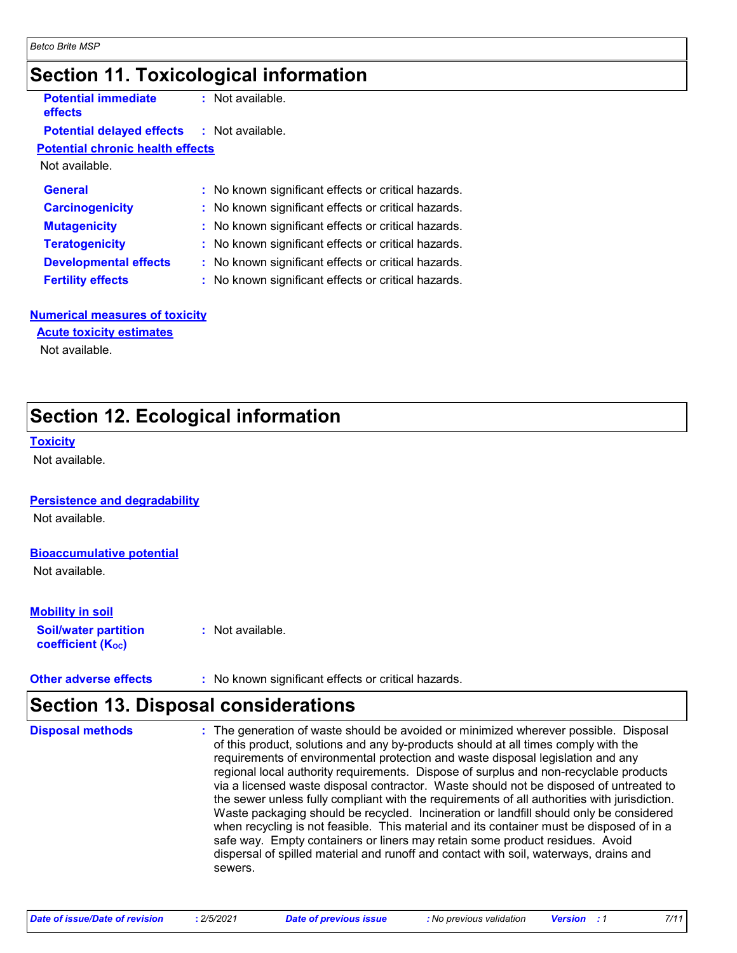### **Section 11. Toxicological information**

| <b>Potential immediate</b>       |
|----------------------------------|
| effects                          |
| <b>Potential delayed effects</b> |
|                                  |

**:** Not available.

#### *<u>ffects* : Not available.</u>

#### **Potential chronic health effects**

Not available.

| <b>General</b>               | : No known significant effects or critical hazards. |
|------------------------------|-----------------------------------------------------|
| <b>Carcinogenicity</b>       | : No known significant effects or critical hazards. |
| <b>Mutagenicity</b>          | : No known significant effects or critical hazards. |
| <b>Teratogenicity</b>        | : No known significant effects or critical hazards. |
| <b>Developmental effects</b> | : No known significant effects or critical hazards. |
| <b>Fertility effects</b>     | : No known significant effects or critical hazards. |

#### **Numerical measures of toxicity**

**Acute toxicity estimates**

Not available.

### **Section 12. Ecological information**

#### **Toxicity**

Not available.

#### **Persistence and degradability**

Not available.

#### **Bioaccumulative potential**

Not available.

#### **Mobility in soil**

**Soil/water partition coefficient (Koc)** 

**:** Not available.

**Other adverse effects** : No known significant effects or critical hazards.

### **Section 13. Disposal considerations**

The generation of waste should be avoided or minimized wherever possible. Disposal of this product, solutions and any by-products should at all times comply with the requirements of environmental protection and waste disposal legislation and any regional local authority requirements. Dispose of surplus and non-recyclable products via a licensed waste disposal contractor. Waste should not be disposed of untreated to the sewer unless fully compliant with the requirements of all authorities with jurisdiction. Waste packaging should be recycled. Incineration or landfill should only be considered when recycling is not feasible. This material and its container must be disposed of in a safe way. Empty containers or liners may retain some product residues. Avoid dispersal of spilled material and runoff and contact with soil, waterways, drains and sewers. **Disposal methods :**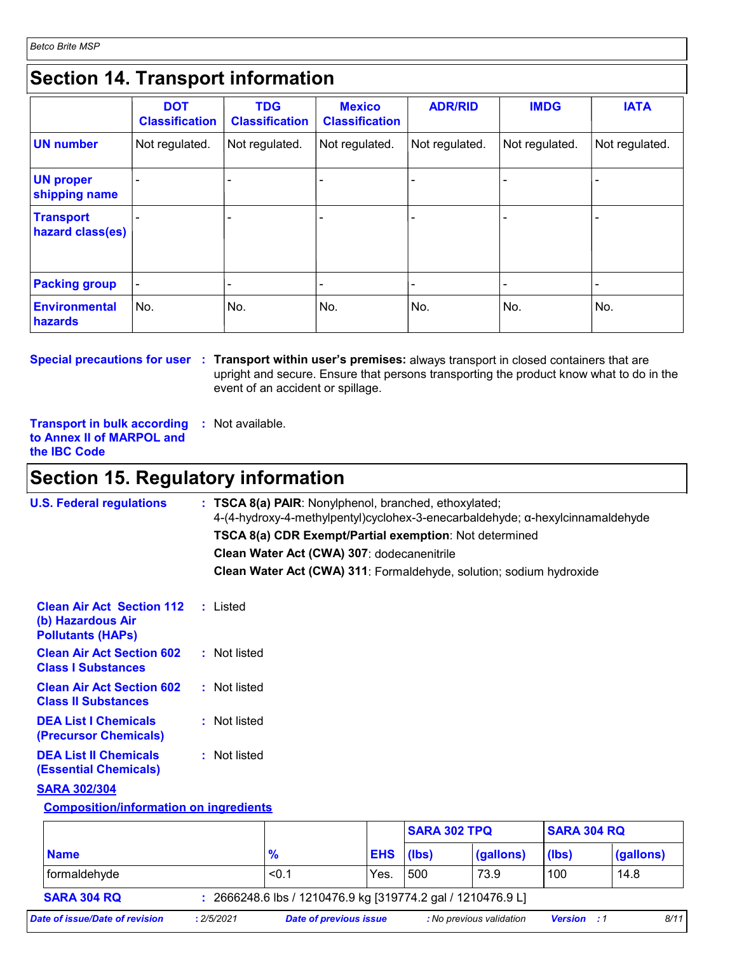### **Section 14. Transport information**

|                                        | <b>DOT</b><br><b>Classification</b> | <b>TDG</b><br><b>Classification</b> | <b>Mexico</b><br><b>Classification</b> | <b>ADR/RID</b> | <b>IMDG</b>    | <b>IATA</b>              |
|----------------------------------------|-------------------------------------|-------------------------------------|----------------------------------------|----------------|----------------|--------------------------|
| <b>UN number</b>                       | Not regulated.                      | Not regulated.                      | Not regulated.                         | Not regulated. | Not regulated. | Not regulated.           |
| <b>UN proper</b><br>shipping name      |                                     |                                     |                                        |                |                |                          |
| <b>Transport</b><br>hazard class(es)   |                                     |                                     |                                        |                |                |                          |
| <b>Packing group</b>                   |                                     |                                     |                                        |                |                | $\overline{\phantom{a}}$ |
| <b>Environmental</b><br><b>hazards</b> | No.                                 | No.                                 | No.                                    | No.            | No.            | No.                      |

**Special precautions for user** : Transport within user's premises: always transport in closed containers that are upright and secure. Ensure that persons transporting the product know what to do in the event of an accident or spillage.

**Transport in bulk according :** Not available. **to Annex II of MARPOL and the IBC Code**

### **Section 15. Regulatory information**

| <b>U.S. Federal regulations</b>                                                   |              | : TSCA 8(a) PAIR: Nonylphenol, branched, ethoxylated;<br>4-(4-hydroxy-4-methylpentyl)cyclohex-3-enecarbaldehyde; α-hexylcinnamaldehyde<br>TSCA 8(a) CDR Exempt/Partial exemption: Not determined<br>Clean Water Act (CWA) 307: dodecanenitrile<br>Clean Water Act (CWA) 311: Formaldehyde, solution; sodium hydroxide |                     |                    |  |
|-----------------------------------------------------------------------------------|--------------|-----------------------------------------------------------------------------------------------------------------------------------------------------------------------------------------------------------------------------------------------------------------------------------------------------------------------|---------------------|--------------------|--|
| <b>Clean Air Act Section 112</b><br>(b) Hazardous Air<br><b>Pollutants (HAPS)</b> | : Listed     |                                                                                                                                                                                                                                                                                                                       |                     |                    |  |
| <b>Clean Air Act Section 602</b><br><b>Class I Substances</b>                     | : Not listed |                                                                                                                                                                                                                                                                                                                       |                     |                    |  |
| <b>Clean Air Act Section 602</b><br><b>Class II Substances</b>                    | : Not listed |                                                                                                                                                                                                                                                                                                                       |                     |                    |  |
| <b>DEA List I Chemicals</b><br>(Precursor Chemicals)                              | : Not listed |                                                                                                                                                                                                                                                                                                                       |                     |                    |  |
| <b>DEA List II Chemicals</b><br><b>(Essential Chemicals)</b>                      | : Not listed |                                                                                                                                                                                                                                                                                                                       |                     |                    |  |
| <b>SARA 302/304</b>                                                               |              |                                                                                                                                                                                                                                                                                                                       |                     |                    |  |
| <b>Composition/information on ingredients</b>                                     |              |                                                                                                                                                                                                                                                                                                                       |                     |                    |  |
|                                                                                   |              |                                                                                                                                                                                                                                                                                                                       | <b>SARA 302 TPQ</b> | <b>SARA 304 RQ</b> |  |
|                                                                                   |              |                                                                                                                                                                                                                                                                                                                       |                     |                    |  |

|                                |            |                                                           |            | I SARA SUZ TPU |                          | <b>DARA 304 RU</b> |           |
|--------------------------------|------------|-----------------------------------------------------------|------------|----------------|--------------------------|--------------------|-----------|
| <b>Name</b>                    |            | %                                                         | <b>EHS</b> | (lbs)          | (gallons)                | (Ibs)              | (gallons) |
| formaldehyde                   |            | < 0.1                                                     | Yes.       | 500            | 73.9                     | 100                | 14.8      |
| <b>SARA 304 RQ</b>             |            | 2666248.6 lbs / 1210476.9 kg [319774.2 gal / 1210476.9 L] |            |                |                          |                    |           |
| Date of issue/Date of revision | : 2/5/2021 | <b>Date of previous issue</b>                             |            |                | : No previous validation | <b>Version</b> : 1 | 8/11      |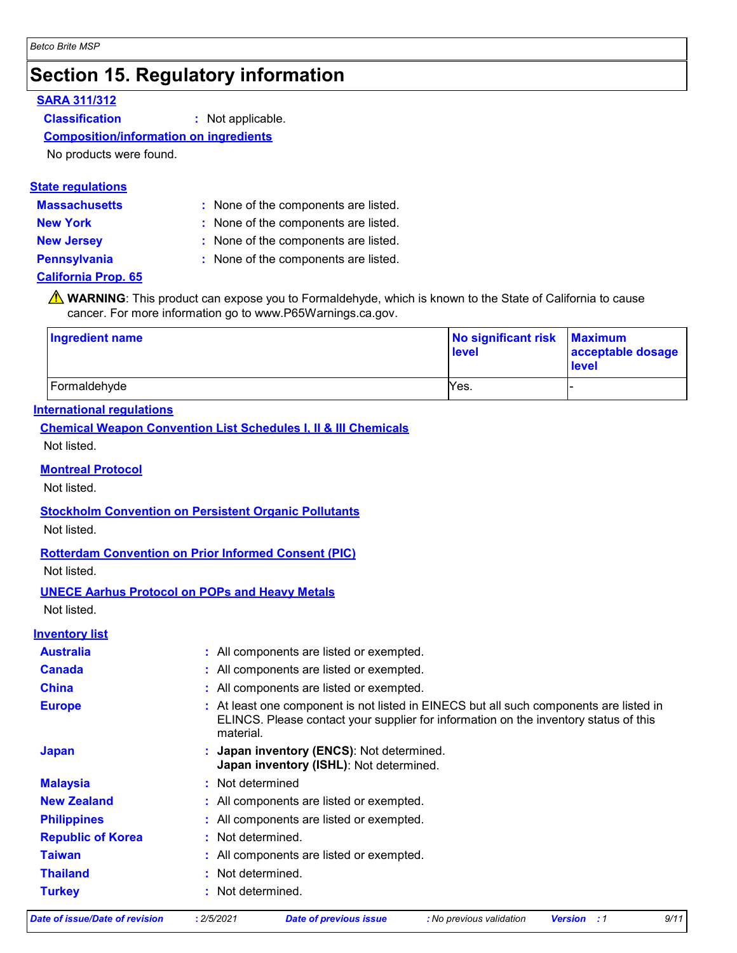### **Section 15. Regulatory information**

#### **SARA 311/312**

**Classification :** Not applicable.

#### **Composition/information on ingredients**

No products were found.

#### **State regulations**

- **Massachusetts :**
- 
- : None of the components are listed.
- **New York :** None of the components are listed.
- 
- **New Jersey :** None of the components are listed.
- 
- **Pennsylvania :** None of the components are listed.

#### **California Prop. 65**

**A** WARNING: This product can expose you to Formaldehyde, which is known to the State of California to cause cancer. For more information go to www.P65Warnings.ca.gov.

| <b>Ingredient name</b> | No significant risk Maximum<br><b>level</b> | acceptable dosage<br><b>level</b> |
|------------------------|---------------------------------------------|-----------------------------------|
| Formaldehyde           | Yes.                                        |                                   |

#### **International regulations**

**Chemical Weapon Convention List Schedules I, II & III Chemicals**

Not listed.

#### **Montreal Protocol**

Not listed.

#### **Stockholm Convention on Persistent Organic Pollutants**

Not listed.

#### **Rotterdam Convention on Prior Informed Consent (PIC)**

Not listed.

#### **UNECE Aarhus Protocol on POPs and Heavy Metals**

Not listed.

#### **Inventory list**

| <b>Australia</b>         | : All components are listed or exempted.                                                                                                                                                    |
|--------------------------|---------------------------------------------------------------------------------------------------------------------------------------------------------------------------------------------|
| <b>Canada</b>            | : All components are listed or exempted.                                                                                                                                                    |
| <b>China</b>             | : All components are listed or exempted.                                                                                                                                                    |
| <b>Europe</b>            | : At least one component is not listed in EINECS but all such components are listed in<br>ELINCS. Please contact your supplier for information on the inventory status of this<br>material. |
| <b>Japan</b>             | : Japan inventory (ENCS): Not determined.<br>Japan inventory (ISHL): Not determined.                                                                                                        |
| <b>Malaysia</b>          | : Not determined                                                                                                                                                                            |
| <b>New Zealand</b>       | : All components are listed or exempted.                                                                                                                                                    |
| <b>Philippines</b>       | : All components are listed or exempted.                                                                                                                                                    |
| <b>Republic of Korea</b> | : Not determined.                                                                                                                                                                           |
| <b>Taiwan</b>            | : All components are listed or exempted.                                                                                                                                                    |
| <b>Thailand</b>          | : Not determined.                                                                                                                                                                           |
| <b>Turkey</b>            | : Not determined.                                                                                                                                                                           |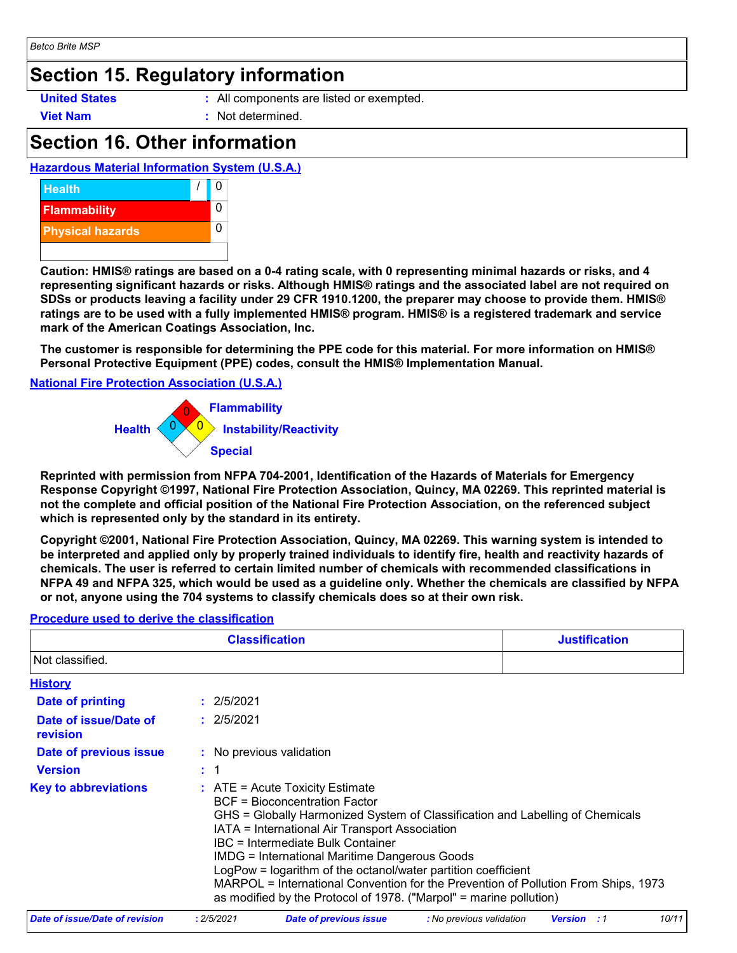### **Section 15. Regulatory information**

- **United States :** All components are listed or exempted.
- 
- **Viet Nam :** Not determined.

### **Section 16. Other information**





**Caution: HMIS® ratings are based on a 0-4 rating scale, with 0 representing minimal hazards or risks, and 4 representing significant hazards or risks. Although HMIS® ratings and the associated label are not required on SDSs or products leaving a facility under 29 CFR 1910.1200, the preparer may choose to provide them. HMIS® ratings are to be used with a fully implemented HMIS® program. HMIS® is a registered trademark and service mark of the American Coatings Association, Inc.**

**The customer is responsible for determining the PPE code for this material. For more information on HMIS® Personal Protective Equipment (PPE) codes, consult the HMIS® Implementation Manual.**

**National Fire Protection Association (U.S.A.)**



**Reprinted with permission from NFPA 704-2001, Identification of the Hazards of Materials for Emergency Response Copyright ©1997, National Fire Protection Association, Quincy, MA 02269. This reprinted material is not the complete and official position of the National Fire Protection Association, on the referenced subject which is represented only by the standard in its entirety.**

**Copyright ©2001, National Fire Protection Association, Quincy, MA 02269. This warning system is intended to be interpreted and applied only by properly trained individuals to identify fire, health and reactivity hazards of chemicals. The user is referred to certain limited number of chemicals with recommended classifications in NFPA 49 and NFPA 325, which would be used as a guideline only. Whether the chemicals are classified by NFPA or not, anyone using the 704 systems to classify chemicals does so at their own risk.**

#### **Procedure used to derive the classification**

|                                   | <b>Classification</b>                                                                                                                                                                                                                                                                                                                                                                                                                                                                                                                           | <b>Justification</b> |
|-----------------------------------|-------------------------------------------------------------------------------------------------------------------------------------------------------------------------------------------------------------------------------------------------------------------------------------------------------------------------------------------------------------------------------------------------------------------------------------------------------------------------------------------------------------------------------------------------|----------------------|
| Not classified.                   |                                                                                                                                                                                                                                                                                                                                                                                                                                                                                                                                                 |                      |
| <b>History</b>                    |                                                                                                                                                                                                                                                                                                                                                                                                                                                                                                                                                 |                      |
| Date of printing                  | : 2/5/2021                                                                                                                                                                                                                                                                                                                                                                                                                                                                                                                                      |                      |
| Date of issue/Date of<br>revision | : 2/5/2021                                                                                                                                                                                                                                                                                                                                                                                                                                                                                                                                      |                      |
| Date of previous issue            | : No previous validation                                                                                                                                                                                                                                                                                                                                                                                                                                                                                                                        |                      |
| <b>Version</b>                    | $\div$ 1                                                                                                                                                                                                                                                                                                                                                                                                                                                                                                                                        |                      |
| <b>Key to abbreviations</b>       | $\therefore$ ATE = Acute Toxicity Estimate<br><b>BCF</b> = Bioconcentration Factor<br>GHS = Globally Harmonized System of Classification and Labelling of Chemicals<br>IATA = International Air Transport Association<br>IBC = Intermediate Bulk Container<br><b>IMDG = International Maritime Dangerous Goods</b><br>LogPow = logarithm of the octanol/water partition coefficient<br>MARPOL = International Convention for the Prevention of Pollution From Ships, 1973<br>as modified by the Protocol of 1978. ("Marpol" = marine pollution) |                      |